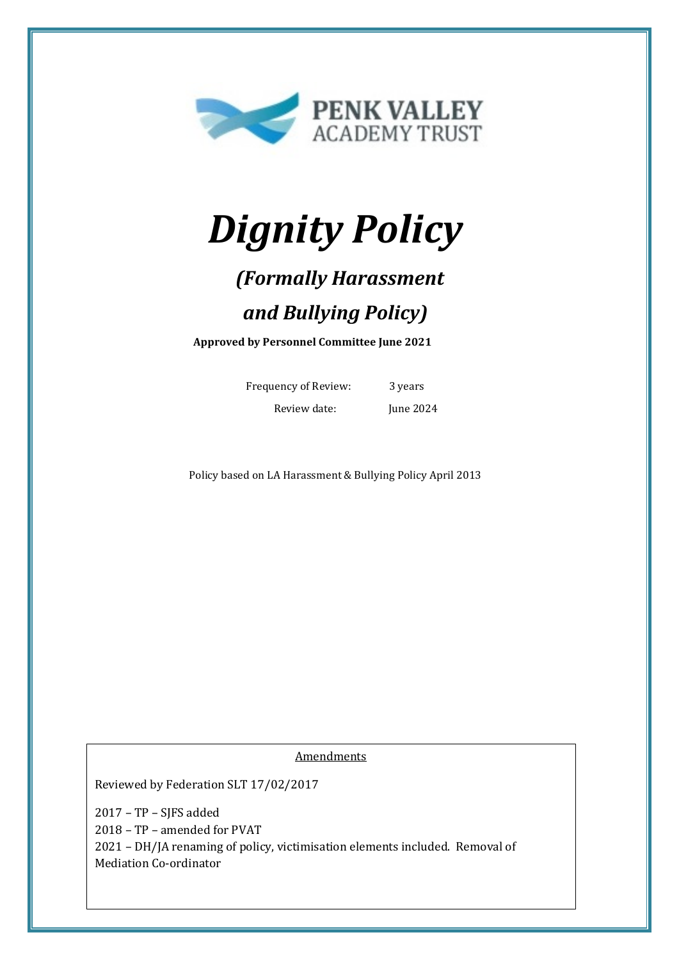

# *Dignity Policy*

# *(Formally Harassment and Bullying Policy)*

**Approved by Personnel Committee June 2021**

Frequency of Review: 3 years Review date: June 2024

Policy based on LA Harassment & Bullying Policy April 2013

Amendments

Reviewed by Federation SLT 17/02/2017

2017 – TP – SJFS added 2018 – TP – amended for PVAT 2021 – DH/JA renaming of policy, victimisation elements included. Removal of Mediation Co-ordinator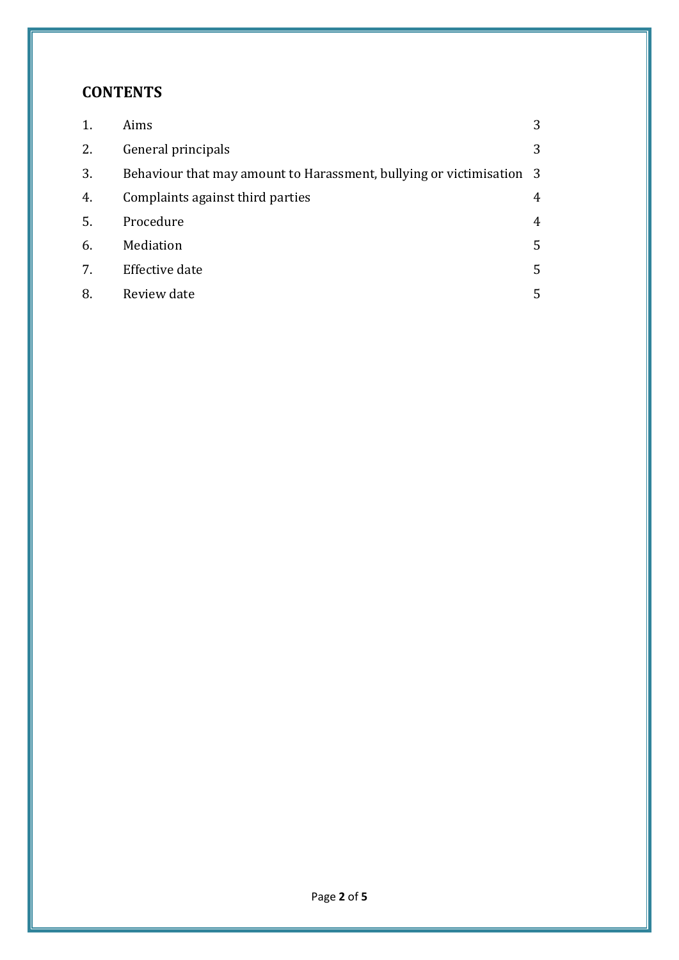# **CONTENTS**

| 1. | Aims                                                                 | 3 |
|----|----------------------------------------------------------------------|---|
| 2. | General principals                                                   | 3 |
| 3. | Behaviour that may amount to Harassment, bullying or victimisation 3 |   |
| 4. | Complaints against third parties                                     | 4 |
| 5. | Procedure                                                            | 4 |
| 6. | Mediation                                                            | 5 |
| 7. | Effective date                                                       | 5 |
| 8. | Review date                                                          | 5 |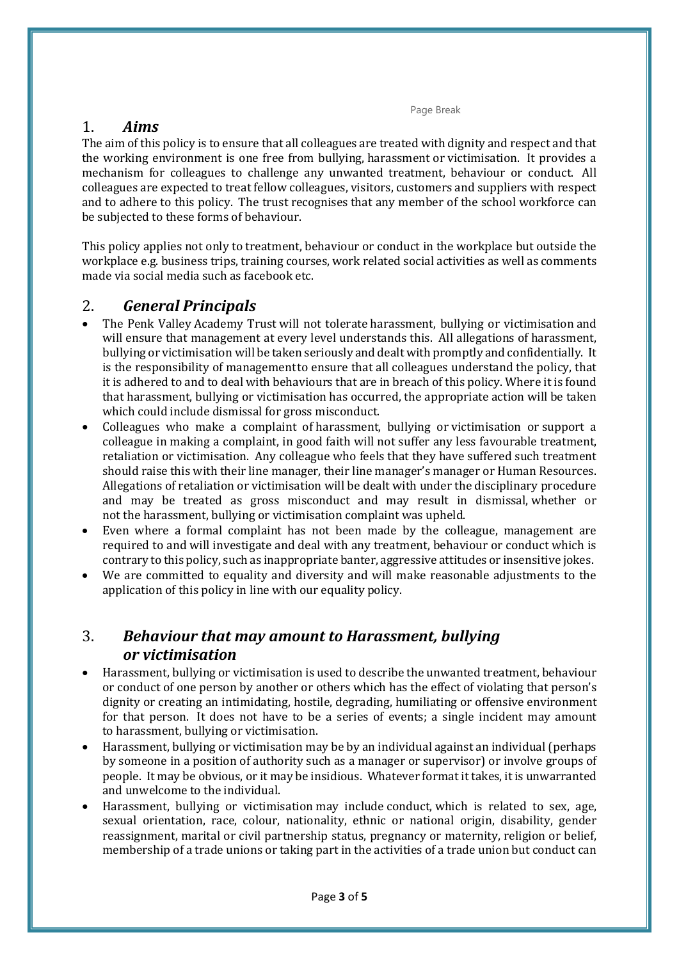Page Break

### 1. *Aims*

The aim of this policy is to ensure that all colleagues are treated with dignity and respect and that the working environment is one free from bullying, harassment or victimisation. It provides a mechanism for colleagues to challenge any unwanted treatment, behaviour or conduct. All colleagues are expected to treat fellow colleagues, visitors, customers and suppliers with respect and to adhere to this policy. The trust recognises that any member of the school workforce can be subjected to these forms of behaviour.

This policy applies not only to treatment, behaviour or conduct in the workplace but outside the workplace e.g. business trips, training courses, work related social activities as well as comments made via social media such as facebook etc.

# 2. *General Principals*

- The Penk Valley Academy Trust will not tolerate harassment, bullying or victimisation and will ensure that management at every level understands this. All allegations of harassment, bullying or victimisation will be taken seriously and dealt with promptly and confidentially. It is the responsibility of managementto ensure that all colleagues understand the policy, that it is adhered to and to deal with behaviours that are in breach of this policy. Where it is found that harassment, bullying or victimisation has occurred, the appropriate action will be taken which could include dismissal for gross misconduct.
- Colleagues who make a complaint of harassment, bullying or victimisation or support a colleague in making a complaint, in good faith will not suffer any less favourable treatment, retaliation or victimisation. Any colleague who feels that they have suffered such treatment should raise this with their line manager, their line manager's manager or Human Resources. Allegations of retaliation or victimisation will be dealt with under the disciplinary procedure and may be treated as gross misconduct and may result in dismissal, whether or not the harassment, bullying or victimisation complaint was upheld.
- Even where a formal complaint has not been made by the colleague, management are required to and will investigate and deal with any treatment, behaviour or conduct which is contrary to this policy, such as inappropriate banter, aggressive attitudes or insensitive jokes.
- We are committed to equality and diversity and will make reasonable adjustments to the application of this policy in line with our equality policy.

# 3. *Behaviour that may amount to Harassment, bullying or victimisation*

- Harassment, bullying or victimisation is used to describe the unwanted treatment, behaviour or conduct of one person by another or others which has the effect of violating that person's dignity or creating an intimidating, hostile, degrading, humiliating or offensive environment for that person. It does not have to be a series of events; a single incident may amount to harassment, bullying or victimisation.
- Harassment, bullying or victimisation may be by an individual against an individual (perhaps by someone in a position of authority such as a manager or supervisor) or involve groups of people. It may be obvious, or it may be insidious. Whatever format it takes, it is unwarranted and unwelcome to the individual.
- Harassment, bullying or victimisation may include conduct, which is related to sex, age, sexual orientation, race, colour, nationality, ethnic or national origin, disability, gender reassignment, marital or civil partnership status, pregnancy or maternity, religion or belief, membership of a trade unions or taking part in the activities of a trade union but conduct can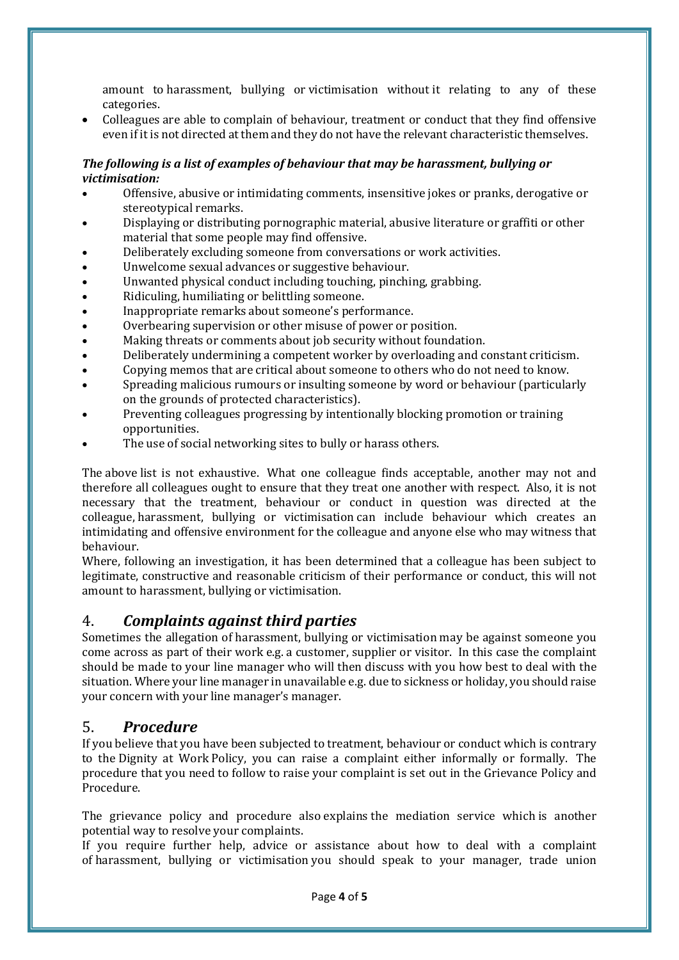amount to harassment, bullying or victimisation without it relating to any of these categories.

• Colleagues are able to complain of behaviour, treatment or conduct that they find offensive even if it is not directed at them and they do not have the relevant characteristic themselves.

#### *The following is a list of examples of behaviour that may be harassment, bullying or victimisation:*

- Offensive, abusive or intimidating comments, insensitive jokes or pranks, derogative or stereotypical remarks.
- Displaying or distributing pornographic material, abusive literature or graffiti or other material that some people may find offensive.
- Deliberately excluding someone from conversations or work activities.
- Unwelcome sexual advances or suggestive behaviour.
- Unwanted physical conduct including touching, pinching, grabbing.
- Ridiculing, humiliating or belittling someone.
- Inappropriate remarks about someone's performance.
- Overbearing supervision or other misuse of power or position.
- Making threats or comments about job security without foundation.
- Deliberately undermining a competent worker by overloading and constant criticism.
- Copying memos that are critical about someone to others who do not need to know.
- Spreading malicious rumours or insulting someone by word or behaviour (particularly on the grounds of protected characteristics).
- Preventing colleagues progressing by intentionally blocking promotion or training opportunities.
- The use of social networking sites to bully or harass others.

The above list is not exhaustive. What one colleague finds acceptable, another may not and therefore all colleagues ought to ensure that they treat one another with respect. Also, it is not necessary that the treatment, behaviour or conduct in question was directed at the colleague, harassment, bullying or victimisation can include behaviour which creates an intimidating and offensive environment for the colleague and anyone else who may witness that behaviour.

Where, following an investigation, it has been determined that a colleague has been subject to legitimate, constructive and reasonable criticism of their performance or conduct, this will not amount to harassment, bullying or victimisation.

### 4. *Complaints against third parties*

Sometimes the allegation of harassment, bullying or victimisation may be against someone you come across as part of their work e.g. a customer, supplier or visitor. In this case the complaint should be made to your line manager who will then discuss with you how best to deal with the situation. Where your line manager in unavailable e.g. due to sickness or holiday, you should raise your concern with your line manager's manager.

#### 5. *Procedure*

If you believe that you have been subjected to treatment, behaviour or conduct which is contrary to the Dignity at Work Policy, you can raise a complaint either informally or formally. The procedure that you need to follow to raise your complaint is set out in the Grievance Policy and Procedure.

The grievance policy and procedure also explains the mediation service which is another potential way to resolve your complaints.

If you require further help, advice or assistance about how to deal with a complaint of harassment, bullying or victimisation you should speak to your manager, trade union